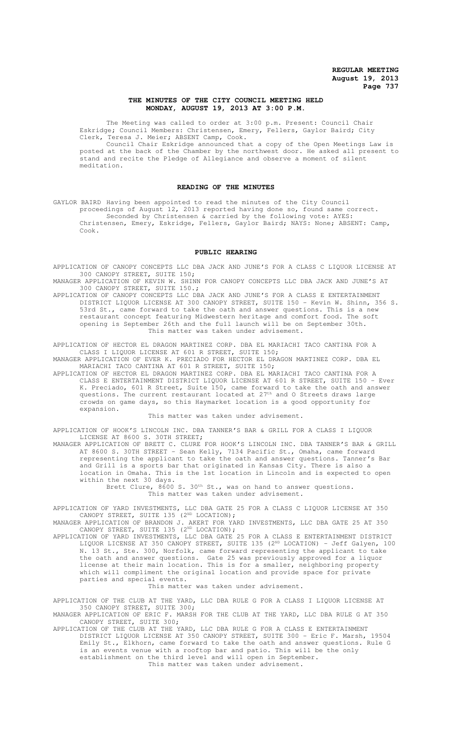## **THE MINUTES OF THE CITY COUNCIL MEETING HELD MONDAY, AUGUST 19, 2013 AT 3:00 P.M.**

The Meeting was called to order at 3:00 p.m. Present: Council Chair Eskridge; Council Members: Christensen, Emery, Fellers, Gaylor Baird; City Clerk, Teresa J. Meier; ABSENT Camp, Cook.

Council Chair Eskridge announced that a copy of the Open Meetings Law is posted at the back of the Chamber by the northwest door. He asked all present to stand and recite the Pledge of Allegiance and observe a moment of silent meditation.

### **READING OF THE MINUTES**

GAYLOR BAIRD Having been appointed to read the minutes of the City Council proceedings of August 12, 2013 reported having done so, found same correct.

Seconded by Christensen & carried by the following vote: AYES: Christensen, Emery, Eskridge, Fellers, Gaylor Baird; NAYS: None; ABSENT: Camp, Cook.

#### **PUBLIC HEARING**

APPLICATION OF CANOPY CONCEPTS LLC DBA JACK AND JUNE'S FOR A CLASS C LIQUOR LICENSE AT 300 CANOPY STREET, SUITE 150;

MANAGER APPLICATION OF KEVIN W. SHINN FOR CANOPY CONCEPTS LLC DBA JACK AND JUNE'S AT 300 CANOPY STREET, SUITE 150.;

APPLICATION OF CANOPY CONCEPTS LLC DBA JACK AND JUNE'S FOR A CLASS E ENTERTAINMENT DISTRICT LIQUOR LICENSE AT 300 CANOPY STREET, SUITE 150 - Kevin W. Shinn, 356 S. 53rd St., came forward to take the oath and answer questions. This is a new restaurant concept featuring Midwestern heritage and comfort food. The soft opening is September 26th and the full launch will be on September 30th. This matter was taken under advisement.

APPLICATION OF HECTOR EL DRAGON MARTINEZ CORP. DBA EL MARIACHI TACO CANTINA FOR A CLASS I LIQUOR LICENSE AT 601 R STREET, SUITE 150;

MANAGER APPLICATION OF EVER K. PRECIADO FOR HECTOR EL DRAGON MARTINEZ CORP. DBA EL MARIACHI TACO CANTINA AT 601 R STREET, SUITE 150;

APPLICATION OF HECTOR EL DRAGON MARTINEZ CORP. DBA EL MARIACHI TACO CANTINA FOR A CLASS E ENTERTAINMENT DISTRICT LIQUOR LICENSE AT 601 R STREET, SUITE 150 - Ever K. Preciado, 601 R Street, Suite 150, came forward to take the oath and answer questions. The current restaurant located at 27<sup>th</sup> and 0 Streets draws large crowds on game days, so this Haymarket location is a good opportunity for expansion.

#### This matter was taken under advisement.

APPLICATION OF HOOK'S LINCOLN INC. DBA TANNER'S BAR & GRILL FOR A CLASS I LIQUOR LICENSE AT 8600 S. 30TH STREET;

MANAGER APPLICATION OF BRETT C. CLURE FOR HOOK'S LINCOLN INC. DBA TANNER'S BAR & GRILL AT 8600 S. 30TH STREET - Sean Kelly, 7134 Pacific St., Omaha, came forward representing the applicant to take the oath and answer questions. Tanner's Bar and Grill is a sports bar that originated in Kansas City. There is also a location in Omaha. This is the 1st location in Lincoln and is expected to open within the next 30 days.

Brett Clure, 8600 S. 30<sup>th</sup> St., was on hand to answer questions. This matter was taken under advisement.

APPLICATION OF YARD INVESTMENTS, LLC DBA GATE 25 FOR A CLASS C LIQUOR LICENSE AT 350 CANOPY STREET, SUITE 135 (2<sup>ND</sup> LOCATION);

MANAGER APPLICATION OF BRANDON J. AKERT FOR YARD INVESTMENTS, LLC DBA GATE 25 AT 350 CANOPY STREET, SUITE 135 (2<sup>ND</sup> LOCATION);

APPLICATION OF YARD INVESTMENTS, LLC DBA GATE 25 FOR A CLASS E ENTERTAINMENT DISTRICT LIQUOR LICENSE AT 350 CANOPY STREET, SUITE 135 (2<sup>ND</sup> LOCATION) - Jeff Galyen, 100 N. 13 St., Ste. 300, Norfolk, came forward representing the applicant to take the oath and answer questions. Gate 25 was previously approved for a liquor license at their main location. This is for a smaller, neighboring property which will compliment the original location and provide space for private parties and special events.

This matter was taken under advisement.

APPLICATION OF THE CLUB AT THE YARD, LLC DBA RULE G FOR A CLASS I LIQUOR LICENSE AT 350 CANOPY STREET, SUITE 300;

MANAGER APPLICATION OF ERIC F. MARSH FOR THE CLUB AT THE YARD, LLC DBA RULE G AT 350 CANOPY STREET, SUITE 300;

APPLICATION OF THE CLUB AT THE YARD, LLC DBA RULE G FOR A CLASS E ENTERTAINMENT DISTRICT LIQUOR LICENSE AT 350 CANOPY STREET, SUITE 300 - Eric F. Marsh, 19504 Emily St., Elkhorn, came forward to take the oath and answer questions. Rule G is an events venue with a rooftop bar and patio. This will be the only establishment on the third level and will open in September. This matter was taken under advisement.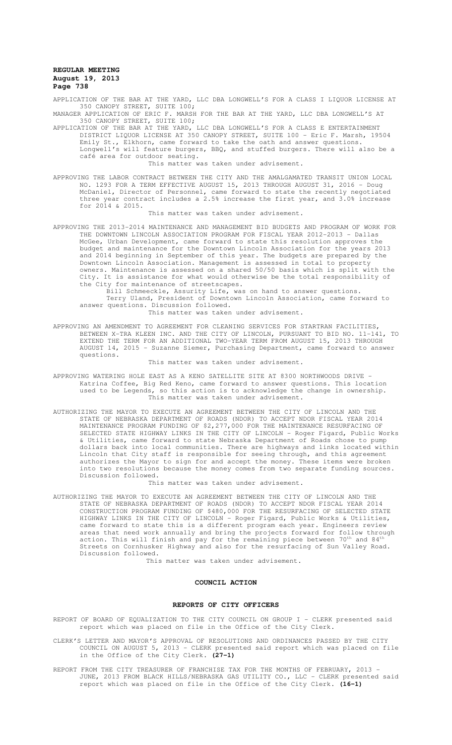APPLICATION OF THE BAR AT THE YARD, LLC DBA LONGWELL'S FOR A CLASS I LIQUOR LICENSE AT 350 CANOPY STREET, SUITE 100;

MANAGER APPLICATION OF ERIC F. MARSH FOR THE BAR AT THE YARD, LLC DBA LONGWELL'S AT 350 CANOPY STREET, SUITE 100;

APPLICATION OF THE BAR AT THE YARD, LLC DBA LONGWELL'S FOR A CLASS E ENTERTAINMENT DISTRICT LIQUOR LICENSE AT 350 CANOPY STREET, SUITE 100 - Eric F. Marsh, 19504 Emily St., Elkhorn, came forward to take the oath and answer questions. Longwell's will feature burgers, BBQ, and stuffed burgers. There will also be a café area for outdoor seating.

# This matter was taken under advisement.

APPROVING THE LABOR CONTRACT BETWEEN THE CITY AND THE AMALGAMATED TRANSIT UNION LOCAL NO. 1293 FOR A TERM EFFECTIVE AUGUST 15, 2013 THROUGH AUGUST 31, 2016 - Doug McDaniel, Director of Personnel, came forward to state the recently negotiated three year contract includes a 2.5% increase the first year, and 3.0% increase for 2014 & 2015.

## This matter was taken under advisement.

APPROVING THE 2013-2014 MAINTENANCE AND MANAGEMENT BID BUDGETS AND PROGRAM OF WORK FOR THE DOWNTOWN LINCOLN ASSOCIATION PROGRAM FOR FISCAL YEAR 2012-2013 - Dallas McGee, Urban Development, came forward to state this resolution approves the budget and maintenance for the Downtown Lincoln Association for the years 2013 and 2014 beginning in September of this year. The budgets are prepared by the Downtown Lincoln Association. Management is assessed in total to property owners. Maintenance is assessed on a shared 50/50 basis which is split with the City. It is assistance for what would otherwise be the total responsibility of the City for maintenance of streetscapes.

Bill Schmeeckle, Assurity Life, was on hand to answer questions. Terry Uland, President of Downtown Lincoln Association, came forward to answer questions. Discussion followed. This matter was taken under advisement.

APPROVING AN AMENDMENT TO AGREEMENT FOR CLEANING SERVICES FOR STARTRAN FACILITIES, BETWEEN X-TRA KLEEN INC. AND THE CITY OF LINCOLN, PURSUANT TO BID NO. 11-141, TO EXTEND THE TERM FOR AN ADDITIONAL TWO-YEAR TERM FROM AUGUST 15, 2013 THROUGH AUGUST 14, 2015 - Suzanne Siemer, Purchasing Department, came forward to answer questions.

This matter was taken under advisement.

APPROVING WATERING HOLE EAST AS A KENO SATELLITE SITE AT 8300 NORTHWOODS DRIVE - Katrina Coffee, Big Red Keno, came forward to answer questions. This location used to be Legends, so this action is to acknowledge the change in ownership. This matter was taken under advisement.

AUTHORIZING THE MAYOR TO EXECUTE AN AGREEMENT BETWEEN THE CITY OF LINCOLN AND THE STATE OF NEBRASKA DEPARTMENT OF ROADS (NDOR) TO ACCEPT NDOR FISCAL YEAR 2014 MAINTENANCE PROGRAM FUNDING OF \$2,277,000 FOR THE MAINTENANCE RESURFACING OF SELECTED STATE HIGHWAY LINKS IN THE CITY OF LINCOLN - Roger Figard, Public Works & Utilities, came forward to state Nebraska Department of Roads chose to pump dollars back into local communities. There are highways and links located within Lincoln that City staff is responsible for seeing through, and this agreement authorizes the Mayor to sign for and accept the money. These items were broken into two resolutions because the money comes from two separate funding sources. Discussion followed.

This matter was taken under advisement.

AUTHORIZING THE MAYOR TO EXECUTE AN AGREEMENT BETWEEN THE CITY OF LINCOLN AND THE STATE OF NEBRASKA DEPARTMENT OF ROADS (NDOR) TO ACCEPT NDOR FISCAL YEAR 2014 CONSTRUCTION PROGRAM FUNDING OF \$480,000 FOR THE RESURFACING OF SELECTED STATE HIGHWAY LINKS IN THE CITY OF LINCOLN - Roger Figard, Public Works & Utilities, came forward to state this is a different program each year. Engineers review areas that need work annually and bring the projects forward for follow through action. This will finish and pay for the remaining piece between  $70^{\rm th}$  and  $84^{\rm th}$ Streets on Cornhusker Highway and also for the resurfacing of Sun Valley Road. Discussion followed.

This matter was taken under advisement.

#### **COUNCIL ACTION**

#### **REPORTS OF CITY OFFICERS**

- REPORT OF BOARD OF EQUALIZATION TO THE CITY COUNCIL ON GROUP I CLERK presented said report which was placed on file in the Office of the City Clerk.
- CLERK'S LETTER AND MAYOR'S APPROVAL OF RESOLUTIONS AND ORDINANCES PASSED BY THE CITY COUNCIL ON AUGUST 5, 2013 - CLERK presented said report which was placed on file in the Office of the City Clerk. **(27-1)**
- REPORT FROM THE CITY TREASURER OF FRANCHISE TAX FOR THE MONTHS OF FEBRUARY, 2013 -JUNE, 2013 FROM BLACK HILLS/NEBRASKA GAS UTILITY CO., LLC - CLERK presented said report which was placed on file in the Office of the City Clerk. **(16-1)**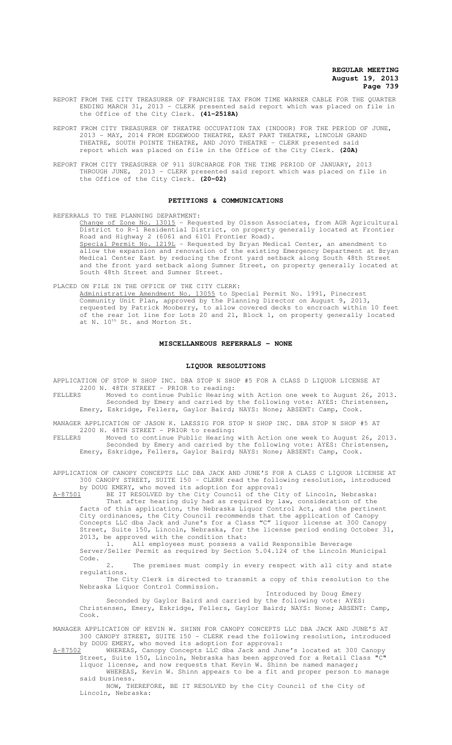- REPORT FROM THE CITY TREASURER OF FRANCHISE TAX FROM TIME WARNER CABLE FOR THE QUARTER ENDING MARCH 31, 2013 - CLERK presented said report which was placed on file in the Office of the City Clerk. **(41-2518A)**
- REPORT FROM CITY TREASURER OF THEATRE OCCUPATION TAX (INDOOR) FOR THE PERIOD OF JUNE, 2013 - MAY, 2014 FROM EDGEWOOD THEATRE, EAST PART THEATRE, LINCOLN GRAND THEATRE, SOUTH POINTE THEATRE, AND JOYO THEATRE - CLERK presented said report which was placed on file in the Office of the City Clerk. **(20A)**
- REPORT FROM CITY TREASURER OF 911 SURCHARGE FOR THE TIME PERIOD OF JANUARY, 2013 THROUGH JUNE, 2013 - CLERK presented said report which was placed on file in the Office of the City Clerk. **(20-02)**

#### **PETITIONS & COMMUNICATIONS**

REFERRALS TO THE PLANNING DEPARTMENT: Change of Zone No. 13015 - Requested by Olsson Associates, from AGR Agricultural District to R-1 Residential District, on property generally located at Frontier Road and Highway 2 (6061 and 6101 Frontier Road). Special Permit No. 1219L - Requested by Bryan Medical Center, an amendment to allow the expansion and renovation of the existing Emergency Department at Bryan Medical Center East by reducing the front yard setback along South 48th Street and the front yard setback along Sumner Street, on property generally located at South 48th Street and Sumner Street.

PLACED ON FILE IN THE OFFICE OF THE CITY CLERK: Administrative Amendment No. 13055 to Special Permit No. 1991, Pinecrest Community Unit Plan, approved by the Planning Director on August 9, 2013, requested by Patrick Mooberry, to allow covered decks to encroach within 10 feet of the rear lot line for Lots 20 and 21, Block 1, on property generally located at N. 10<sup>th</sup> St. and Morton St.

# **MISCELLANEOUS REFERRALS - NONE**

## **LIQUOR RESOLUTIONS**

APPLICATION OF STOP N SHOP INC. DBA STOP N SHOP #5 FOR A CLASS D LIQUOR LICENSE AT 2200 N. 48TH STREET - PRIOR to reading:

FELLERS Moved to continue Public Hearing with Action one week to August 26, 2013. Seconded by Emery and carried by the following vote: AYES: Christensen, Emery, Eskridge, Fellers, Gaylor Baird; NAYS: None; ABSENT: Camp, Cook.

MANAGER APPLICATION OF JASON K. LAESSIG FOR STOP N SHOP INC. DBA STOP N SHOP #5 AT 2200 N. 48TH STREET - PRIOR to reading:

FELLERS Moved to continue Public Hearing with Action one week to August 26, 2013. Seconded by Emery and carried by the following vote: AYES: Christensen, Emery, Eskridge, Fellers, Gaylor Baird; NAYS: None; ABSENT: Camp, Cook.

APPLICATION OF CANOPY CONCEPTS LLC DBA JACK AND JUNE'S FOR A CLASS C LIQUOR LICENSE AT 300 CANOPY STREET, SUITE 150 - CLERK read the following resolution, introduced by DOUG EMERY, who moved its adoption for approval:

A-87501 BE IT RESOLVED by the City Council of the City of Lincoln, Nebraska:

That after hearing duly had as required by law, consideration of the facts of this application, the Nebraska Liquor Control Act, and the pertinent City ordinances, the City Council recommends that the application of Canopy Concepts LLC dba Jack and June's for a Class "C" liquor license at 300 Canopy Street, Suite 150, Lincoln, Nebraska, for the license period ending October 31, 2013, be approved with the condition that:

1. All employees must possess a valid Responsible Beverage Server/Seller Permit as required by Section 5.04.124 of the Lincoln Municipal Code.

The premises must comply in every respect with all city and state regulations.

The City Clerk is directed to transmit a copy of this resolution to the Nebraska Liquor Control Commission.

Introduced by Doug Emery

Seconded by Gaylor Baird and carried by the following vote: AYES: Christensen, Emery, Eskridge, Fellers, Gaylor Baird; NAYS: None; ABSENT: Camp, Cook.

MANAGER APPLICATION OF KEVIN W. SHINN FOR CANOPY CONCEPTS LLC DBA JACK AND JUNE'S AT 300 CANOPY STREET, SUITE 150 - CLERK read the following resolution, introduced by DOUG EMERY, who moved its adoption for approval:

A-87502 WHEREAS, Canopy Concepts LLC dba Jack and June's located at 300 Canopy Street, Suite 150, Lincoln, Nebraska has been approved for a Retail Class "C" liquor license, and now requests that Kevin W. Shinn be named manager;

WHEREAS, Kevin W. Shinn appears to be a fit and proper person to manage said business.

NOW, THEREFORE, BE IT RESOLVED by the City Council of the City of Lincoln, Nebraska: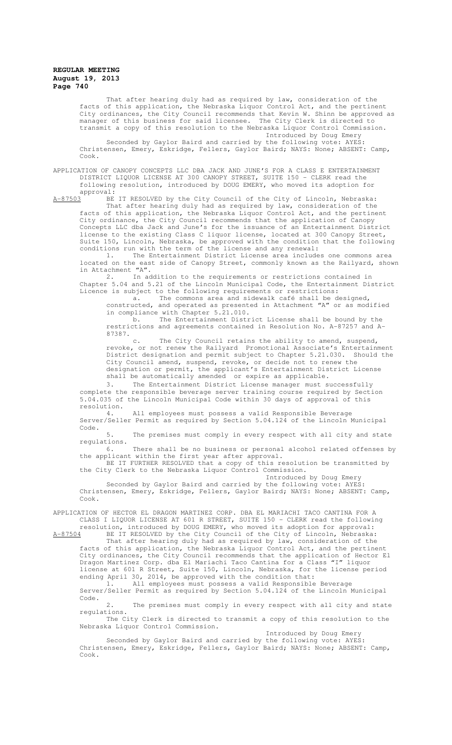That after hearing duly had as required by law, consideration of the facts of this application, the Nebraska Liquor Control Act, and the pertinent City ordinances, the City Council recommends that Kevin W. Shinn be approved as manager of this business for said licensee. The City Clerk is directed to transmit a copy of this resolution to the Nebraska Liquor Control Commission. Introduced by Doug Emery

Seconded by Gaylor Baird and carried by the following vote: AYES: Christensen, Emery, Eskridge, Fellers, Gaylor Baird; NAYS: None; ABSENT: Camp, Cook.

APPLICATION OF CANOPY CONCEPTS LLC DBA JACK AND JUNE'S FOR A CLASS E ENTERTAINMENT DISTRICT LIQUOR LICENSE AT 300 CANOPY STREET, SUITE 150 - CLERK read the following resolution, introduced by DOUG EMERY, who moved its adoption for

approval:<br><u>A-87503</u> BE

BE IT RESOLVED by the City Council of the City of Lincoln, Nebraska: That after hearing duly had as required by law, consideration of the facts of this application, the Nebraska Liquor Control Act, and the pertinent City ordinance, the City Council recommends that the application of Canopy Concepts LLC dba Jack and June's for the issuance of an Entertainment District license to the existing Class C liquor license, located at 300 Canopy Street, Suite 150, Lincoln, Nebraska, be approved with the condition that the following

conditions run with the term of the license and any renewal:<br>1. The Entertainment District License area include The Entertainment District License area includes one commons area located on the east side of Canopy Street, commonly known as the Railyard, shown in Attachment  $"A"$ .<br>2. In ad

In addition to the requirements or restrictions contained in Chapter 5.04 and 5.21 of the Lincoln Municipal Code, the Entertainment District Licence is subject to the following requirements or restrictions:

a. The commons area and sidewalk café shall be designed, constructed, and operated as presented in Attachment "A" or as modified in compliance with Chapter 5.21.010.

b. The Entertainment District License shall be bound by the restrictions and agreements contained in Resolution No. A-87257 and A-87387.

c. The City Council retains the ability to amend, suspend, revoke, or not renew the Railyard Promotional Associate's Entertainment District designation and permit subject to Chapter 5.21.030. Should the City Council amend, suspend, revoke, or decide not to renew the designation or permit, the applicant's Entertainment District License shall be automatically amended or expire as applicable.

3. The Entertainment District License manager must successfully complete the responsible beverage server training course required by Section 5.04.035 of the Lincoln Municipal Code within 30 days of approval of this resolution.

4. All employees must possess a valid Responsible Beverage Server/Seller Permit as required by Section 5.04.124 of the Lincoln Municipal Code.

5. The premises must comply in every respect with all city and state regulations.

There shall be no business or personal alcohol related offenses by the applicant within the first year after approval.

BE IT FURTHER RESOLVED that a copy of this resolution be transmitted by the City Clerk to the Nebraska Liquor Control Commission. Introduced by Doug Emery

Seconded by Gaylor Baird and carried by the following vote: AYES: Christensen, Emery, Eskridge, Fellers, Gaylor Baird; NAYS: None; ABSENT: Camp, Cook.

APPLICATION OF HECTOR EL DRAGON MARTINEZ CORP. DBA EL MARIACHI TACO CANTINA FOR A CLASS I LIQUOR LICENSE AT 601 R STREET, SUITE 150 - CLERK read the following resolution, introduced by DOUG EMERY, who moved its adoption for approval:

A-87504 BE IT RESOLVED by the City Council of the City of Lincoln, Nebraska:

That after hearing duly had as required by law, consideration of the facts of this application, the Nebraska Liquor Control Act, and the pertinent City ordinances, the City Council recommends that the application of Hector El Dragon Martinez Corp. dba El Mariachi Taco Cantina for a Class "I" liquor license at 601 R Street, Suite 150, Lincoln, Nebraska, for the license period ending April 30, 2014, be approved with the condition that:

1. All employees must possess a valid Responsible Beverage Server/Seller Permit as required by Section 5.04.124 of the Lincoln Municipal Code.

2. The premises must comply in every respect with all city and state regulations.

The City Clerk is directed to transmit a copy of this resolution to the Nebraska Liquor Control Commission.

Introduced by Doug Emery

Seconded by Gaylor Baird and carried by the following vote: AYES: Christensen, Emery, Eskridge, Fellers, Gaylor Baird; NAYS: None; ABSENT: Camp, Cook.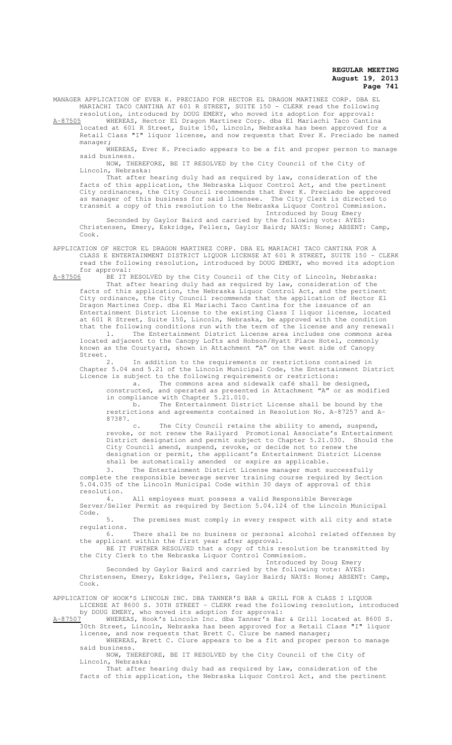MANAGER APPLICATION OF EVER K. PRECIADO FOR HECTOR EL DRAGON MARTINEZ CORP. DBA EL MARIACHI TACO CANTINA AT 601 R STREET, SUITE 150 - CLERK read the following resolution, introduced by DOUG EMERY, who moved its adoption for approval:

A-87505 WHEREAS, Hector El Dragon Martinez Corp. dba El Mariachi Taco Cantina located at 601 R Street, Suite 150, Lincoln, Nebraska has been approved for a Retail Class "I" liquor license, and now requests that Ever K. Preciado be named manager;

WHEREAS, Ever K. Preciado appears to be a fit and proper person to manage said business.

NOW, THEREFORE, BE IT RESOLVED by the City Council of the City of Lincoln, Nebraska:

That after hearing duly had as required by law, consideration of the facts of this application, the Nebraska Liquor Control Act, and the pertinent City ordinances, the City Council recommends that Ever K. Preciado be approved as manager of this business for said licensee. The City Clerk is directed to transmit a copy of this resolution to the Nebraska Liquor Control Commission. Introduced by Doug Emery

Seconded by Gaylor Baird and carried by the following vote: AYES: Christensen, Emery, Eskridge, Fellers, Gaylor Baird; NAYS: None; ABSENT: Camp, Cook.

APPLICATION OF HECTOR EL DRAGON MARTINEZ CORP. DBA EL MARIACHI TACO CANTINA FOR A CLASS E ENTERTAINMENT DISTRICT LIQUOR LICENSE AT 601 R STREET, SUITE 150 - CLERK read the following resolution, introduced by DOUG EMERY, who moved its adoption

for approval:<br><u>A-87506</u> BE IT F BE IT RESOLVED by the City Council of the City of Lincoln, Nebraska:

That after hearing duly had as required by law, consideration of the facts of this application, the Nebraska Liquor Control Act, and the pertinent City ordinance, the City Council recommends that the application of Hector El Dragon Martinez Corp. dba El Mariachi Taco Cantina for the issuance of an Entertainment District License to the existing Class I liquor license, located at 601 R Street, Suite 150, Lincoln, Nebraska, be approved with the condition that the following conditions run with the term of the license and any renewal: 1. The Entertainment District License area includes one commons area located adjacent to the Canopy Lofts and Hobson/Hyatt Place Hotel, commonly

known as the Courtyard, shown in Attachment "A" on the west side of Canopy Street.<br>2.

In addition to the requirements or restrictions contained in Chapter 5.04 and 5.21 of the Lincoln Municipal Code, the Entertainment District Licence is subject to the following requirements or restrictions:

a. The commons area and sidewalk café shall be designed, constructed, and operated as presented in Attachment "A" or as modified in compliance with Chapter 5.21.010.

b. The Entertainment District License shall be bound by the restrictions and agreements contained in Resolution No. A-87257 and A-87387.

c. The City Council retains the ability to amend, suspend, revoke, or not renew the Railyard Promotional Associate's Entertainment District designation and permit subject to Chapter 5.21.030. Should the City Council amend, suspend, revoke, or decide not to renew the designation or permit, the applicant's Entertainment District License shall be automatically amended or expire as applicable.

3. The Entertainment District License manager must successfully complete the responsible beverage server training course required by Section 5.04.035 of the Lincoln Municipal Code within 30 days of approval of this resolution.<br>4.

4. All employees must possess a valid Responsible Beverage Server/Seller Permit as required by Section 5.04.124 of the Lincoln Municipal Code.

5. The premises must comply in every respect with all city and state regulations.<br>6.

There shall be no business or personal alcohol related offenses by the applicant within the first year after approval.

BE IT FURTHER RESOLVED that a copy of this resolution be transmitted by the City Clerk to the Nebraska Liquor Control Commission.

Introduced by Doug Emery Seconded by Gaylor Baird and carried by the following vote: AYES:

Christensen, Emery, Eskridge, Fellers, Gaylor Baird; NAYS: None; ABSENT: Camp, Cook.

APPLICATION OF HOOK'S LINCOLN INC. DBA TANNER'S BAR & GRILL FOR A CLASS I LIQUOR LICENSE AT 8600 S. 30TH STREET - CLERK read the following resolution, introduced by DOUG EMERY, who moved its adoption for approval:

A-87507 WHEREAS, Hook's Lincoln Inc. dba Tanner's Bar & Grill located at 8600 S. 30th Street, Lincoln, Nebraska has been approved for a Retail Class "I" liquor license, and now requests that Brett C. Clure be named manager;

WHEREAS, Brett C. Clure appears to be a fit and proper person to manage said business.

NOW, THEREFORE, BE IT RESOLVED by the City Council of the City of Lincoln, Nebraska:

That after hearing duly had as required by law, consideration of the facts of this application, the Nebraska Liquor Control Act, and the pertinent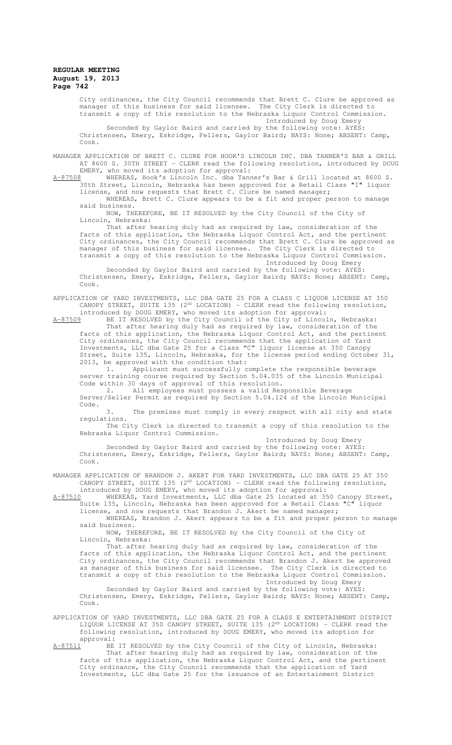City ordinances, the City Council recommends that Brett C. Clure be approved as manager of this business for said licensee. The City Clerk is directed to transmit a copy of this resolution to the Nebraska Liquor Control Commission.

Introduced by Doug Emery Seconded by Gaylor Baird and carried by the following vote: AYES: Christensen, Emery, Eskridge, Fellers, Gaylor Baird; NAYS: None; ABSENT: Camp, Cook.

MANAGER APPLICATION OF BRETT C. CLURE FOR HOOK'S LINCOLN INC. DBA TANNER'S BAR & GRILL AT 8600 S. 30TH STREET - CLERK read the following resolution, introduced by DOUG

EMERY, who moved its adoption for approval:<br>8 MHEREAS, Hook's Lincoln Inc. dba Tanner's Bar & Grill located at 8600 S. A-87508 WHEREAS, Hook's Lincoln Inc. dba Tanner's Bar & Grill located at 8600 S. 30th Street, Lincoln, Nebraska has been approved for a Retail Class "I" liquor license, and now requests that Brett C. Clure be named manager; WHEREAS, Brett C. Clure appears to be a fit and proper person to manage said business.

NOW, THEREFORE, BE IT RESOLVED by the City Council of the City of Lincoln, Nebraska:

That after hearing duly had as required by law, consideration of the facts of this application, the Nebraska Liquor Control Act, and the pertinent City ordinances, the City Council recommends that Brett C. Clure be approved as manager of this business for said licensee. The City Clerk is directed to transmit a copy of this resolution to the Nebraska Liquor Control Commission.

Introduced by Doug Emery

Seconded by Gaylor Baird and carried by the following vote: AYES: Christensen, Emery, Eskridge, Fellers, Gaylor Baird; NAYS: None; ABSENT: Camp, Cook.

APPLICATION OF YARD INVESTMENTS, LLC DBA GATE 25 FOR A CLASS C LIQUOR LICENSE AT 350 CANOPY STREET, SUITE 135 (2<sup>ND</sup> LOCATION) - CLERK read the following resolution, introduced by DOUG EMERY, who moved its adoption for approval:

A-87509 BE IT RESOLVED by the City Council of the City of Lincoln, Nebraska: That after hearing duly had as required by law, consideration of the facts of this application, the Nebraska Liquor Control Act, and the pertinent City ordinances, the City Council recommends that the application of Yard Investments, LLC dba Gate 25 for a Class "C" liquor license at 350 Canopy Street, Suite 135, Lincoln, Nebraska, for the license period ending October 31, 2013, be approved with the condition that:<br>1. Applicant must successfully c

Applicant must successfully complete the responsible beverage server training course required by Section 5.04.035 of the Lincoln Municipal Code within 30 days of approval of this resolution.

2. All employees must possess a valid Responsible Beverage Server/Seller Permit as required by Section 5.04.124 of the Lincoln Municipal Code.

3. The premises must comply in every respect with all city and state regulations.

The City Clerk is directed to transmit a copy of this resolution to the Nebraska Liquor Control Commission.

Introduced by Doug Emery

Seconded by Gaylor Baird and carried by the following vote: AYES: Christensen, Emery, Eskridge, Fellers, Gaylor Baird; NAYS: None; ABSENT: Camp, Cook.

MANAGER APPLICATION OF BRANDON J. AKERT FOR YARD INVESTMENTS, LLC DBA GATE 25 AT 350 CANOPY STREET, SUITE 135 (2<sup>ND</sup> LOCATION) - CLERK read the following resolution, introduced by DOUG EMERY, who moved its adoption for approval:

A-87510 WHEREAS, Yard Investments, LLC dba Gate 25 located at 350 Canopy Street,<br>Suite 135, Lincoln, Nebraska has been approved for a Retail Class "C" liquor .<br>Suite 135, Lincoln, Nebraska has been approved for a Retail Class "C" license, and now requests that Brandon J. Akert be named manager;

WHEREAS, Brandon J. Akert appears to be a fit and proper person to manage said business.

NOW, THEREFORE, BE IT RESOLVED by the City Council of the City of Lincoln, Nebraska:

That after hearing duly had as required by law, consideration of the facts of this application, the Nebraska Liquor Control Act, and the pertinent City ordinances, the City Council recommends that Brandon J. Akert be approved as manager of this business for said licensee. The City Clerk is directed to transmit a copy of this resolution to the Nebraska Liquor Control Commission. Introduced by Doug Emery

Seconded by Gaylor Baird and carried by the following vote: AYES: Christensen, Emery, Eskridge, Fellers, Gaylor Baird; NAYS: None; ABSENT: Camp, Cook.

APPLICATION OF YARD INVESTMENTS, LLC DBA GATE 25 FOR A CLASS E ENTERTAINMENT DISTRICT LIQUOR LICENSE AT 350 CANOPY STREET, SUITE 135  $(2^{ND}$  LOCATION) - CLERK read the following resolution, introduced by DOUG EMERY, who moved its adoption for  $approual: A-87511$  BE

BE IT RESOLVED by the City Council of the City of Lincoln, Nebraska: That after hearing duly had as required by law, consideration of the facts of this application, the Nebraska Liquor Control Act, and the pertinent City ordinance, the City Council recommends that the application of Yard Investments, LLC dba Gate 25 for the issuance of an Entertainment District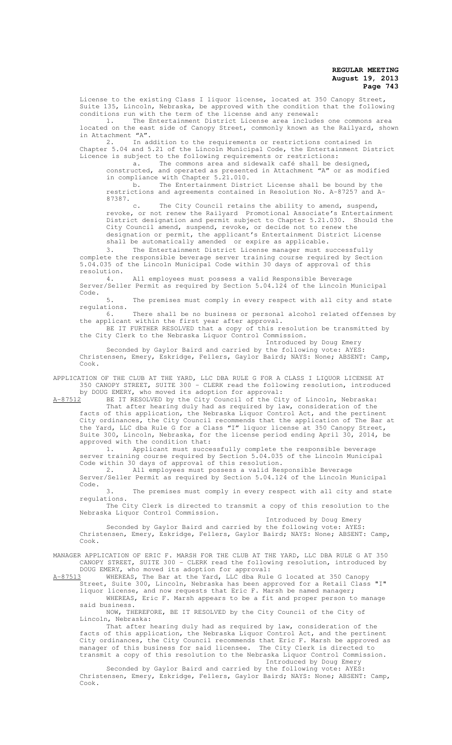License to the existing Class I liquor license, located at 350 Canopy Street, Suite 135, Lincoln, Nebraska, be approved with the condition that the following conditions run with the term of the license and any renewal:

1. The Entertainment District License area includes one commons area located on the east side of Canopy Street, commonly known as the Railyard, shown in Attachment "A".

2. In addition to the requirements or restrictions contained in Chapter 5.04 and 5.21 of the Lincoln Municipal Code, the Entertainment District Licence is subject to the following requirements or restrictions:

a. The commons area and sidewalk café shall be designed, constructed, and operated as presented in Attachment "A" or as modified in compliance with Chapter 5.21.010.

b. The Entertainment District License shall be bound by the restrictions and agreements contained in Resolution No. A-87257 and A-87387.<br>c.

The City Council retains the ability to amend, suspend, revoke, or not renew the Railyard Promotional Associate's Entertainment District designation and permit subject to Chapter 5.21.030. Should the City Council amend, suspend, revoke, or decide not to renew the designation or permit, the applicant's Entertainment District License shall be automatically amended or expire as applicable.

3. The Entertainment District License manager must successfully complete the responsible beverage server training course required by Section 5.04.035 of the Lincoln Municipal Code within 30 days of approval of this resolution.

4. All employees must possess a valid Responsible Beverage Server/Seller Permit as required by Section 5.04.124 of the Lincoln Municipal Code.

5. The premises must comply in every respect with all city and state regulations.

6. There shall be no business or personal alcohol related offenses by the applicant within the first year after approval.

BE IT FURTHER RESOLVED that a copy of this resolution be transmitted by the City Clerk to the Nebraska Liquor Control Commission.

Introduced by Doug Emery Seconded by Gaylor Baird and carried by the following vote: AYES: Christensen, Emery, Eskridge, Fellers, Gaylor Baird; NAYS: None; ABSENT: Camp, Cook.

APPLICATION OF THE CLUB AT THE YARD, LLC DBA RULE G FOR A CLASS I LIQUOR LICENSE AT 350 CANOPY STREET, SUITE 300 - CLERK read the following resolution, introduced by DOUG EMERY, who moved its adoption for approval:<br>A-87512 BE IT RESOLVED by the City Council of the Cit

BE IT RESOLVED by the City Council of the City of Lincoln, Nebraska: That after hearing duly had as required by law, consideration of the facts of this application, the Nebraska Liquor Control Act, and the pertinent City ordinances, the City Council recommends that the application of The Bar at the Yard, LLC dba Rule G for a Class "I" liquor license at 350 Canopy Street, Suite 300, Lincoln, Nebraska, for the license period ending April 30, 2014, be approved with the condition that:<br>1. Applicant must succe

Applicant must successfully complete the responsible beverage server training course required by Section 5.04.035 of the Lincoln Municipal Code within 30 days of approval of this resolution.

2. All employees must possess a valid Responsible Beverage Server/Seller Permit as required by Section 5.04.124 of the Lincoln Municipal Code.

3. The premises must comply in every respect with all city and state regulations.

The City Clerk is directed to transmit a copy of this resolution to the Nebraska Liquor Control Commission.

Introduced by Doug Emery

Seconded by Gaylor Baird and carried by the following vote: AYES: Christensen, Emery, Eskridge, Fellers, Gaylor Baird; NAYS: None; ABSENT: Camp, Cook.

MANAGER APPLICATION OF ERIC F. MARSH FOR THE CLUB AT THE YARD, LLC DBA RULE G AT 350 CANOPY STREET, SUITE 300 - CLERK read the following resolution, introduced by DOUG EMERY, who moved its adoption for approval:

A-87513 WHEREAS, The Bar at the Yard, LLC dba Rule G located at 350 Canopy Street, Suite 300, Lincoln, Nebraska has been approved for a Retail Class "I"

liquor license, and now requests that Eric F. Marsh be named manager; WHEREAS, Eric F. Marsh appears to be a fit and proper person to manage said business.

NOW, THEREFORE, BE IT RESOLVED by the City Council of the City of Lincoln, Nebraska:

That after hearing duly had as required by law, consideration of the facts of this application, the Nebraska Liquor Control Act, and the pertinent City ordinances, the City Council recommends that Eric F. Marsh be approved as manager of this business for said licensee. The City Clerk is directed to transmit a copy of this resolution to the Nebraska Liquor Control Commission.

Introduced by Doug Emery

Seconded by Gaylor Baird and carried by the following vote: AYES: Christensen, Emery, Eskridge, Fellers, Gaylor Baird; NAYS: None; ABSENT: Camp, Cook.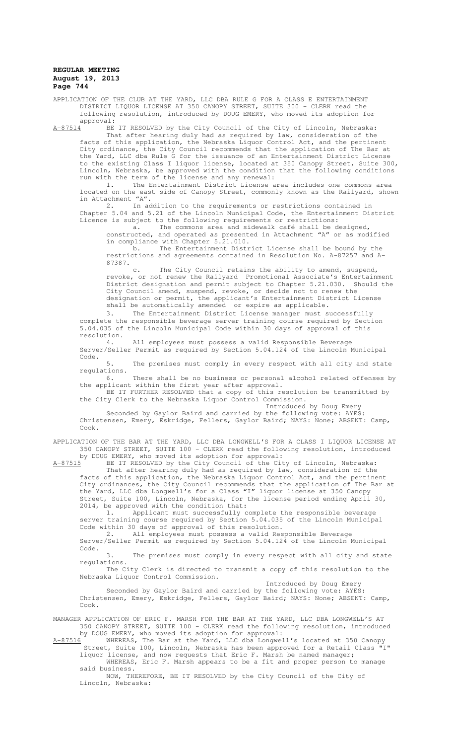APPLICATION OF THE CLUB AT THE YARD, LLC DBA RULE G FOR A CLASS E ENTERTAINMENT DISTRICT LIQUOR LICENSE AT 350 CANOPY STREET, SUITE 300 - CLERK read the following resolution, introduced by DOUG EMERY, who moved its adoption for approval:<br> $A-87514$  BE

A-87514 BE IT RESOLVED by the City Council of the City of Lincoln, Nebraska: That after hearing duly had as required by law, consideration of the facts of this application, the Nebraska Liquor Control Act, and the pertinent City ordinance, the City Council recommends that the application of The Bar at the Yard, LLC dba Rule G for the issuance of an Entertainment District License to the existing Class I liquor license, located at 350 Canopy Street, Suite 300, Lincoln, Nebraska, be approved with the condition that the following conditions run with the term of the license and any renewal:

1. The Entertainment District License area includes one commons area located on the east side of Canopy Street, commonly known as the Railyard, shown in Attachment "A".

2. In addition to the requirements or restrictions contained in Chapter 5.04 and 5.21 of the Lincoln Municipal Code, the Entertainment District Licence is subject to the following requirements or restrictions:

a. The commons area and sidewalk café shall be designed, constructed, and operated as presented in Attachment "A" or as modified in compliance with Chapter 5.21.010.

b. The Entertainment District License shall be bound by the restrictions and agreements contained in Resolution No. A-87257 and A-87387.

c. The City Council retains the ability to amend, suspend, revoke, or not renew the Railyard Promotional Associate's Entertainment District designation and permit subject to Chapter 5.21.030. Should the City Council amend, suspend, revoke, or decide not to renew the designation or permit, the applicant's Entertainment District License shall be automatically amended or expire as applicable.

3. The Entertainment District License manager must successfully complete the responsible beverage server training course required by Section 5.04.035 of the Lincoln Municipal Code within 30 days of approval of this resolution.

4. All employees must possess a valid Responsible Beverage Server/Seller Permit as required by Section 5.04.124 of the Lincoln Municipal Code.

5. The premises must comply in every respect with all city and state regulations.

6. There shall be no business or personal alcohol related offenses by the applicant within the first year after approval.

BE IT FURTHER RESOLVED that a copy of this resolution be transmitted by the City Clerk to the Nebraska Liquor Control Commission.

Introduced by Doug Emery Seconded by Gaylor Baird and carried by the following vote: AYES: Christensen, Emery, Eskridge, Fellers, Gaylor Baird; NAYS: None; ABSENT: Camp, Cook.

APPLICATION OF THE BAR AT THE YARD, LLC DBA LONGWELL'S FOR A CLASS I LIQUOR LICENSE AT 350 CANOPY STREET, SUITE 100 - CLERK read the following resolution, introduced

by DOUG EMERY, who moved its adoption for approval:<br>A-87515 BE IT RESOLVED by the City Council of the Cit A-87515 BE IT RESOLVED by the City Council of the City of Lincoln, Nebraska:

That after hearing duly had as required by law, consideration of the facts of this application, the Nebraska Liquor Control Act, and the pertinent City ordinances, the City Council recommends that the application of The Bar at the Yard, LLC dba Longwell's for a Class "I" liquor license at 350 Canopy Street, Suite 100, Lincoln, Nebraska, for the license period ending April 30, 2014, be approved with the condition that:

1. Applicant must successfully complete the responsible beverage server training course required by Section 5.04.035 of the Lincoln Municipal Code within 30 days of approval of this resolution.

2. All employees must possess a valid Responsible Beverage Server/Seller Permit as required by Section 5.04.124 of the Lincoln Municipal Code.

3. The premises must comply in every respect with all city and state regulations.

The City Clerk is directed to transmit a copy of this resolution to the Nebraska Liquor Control Commission.

Introduced by Doug Emery

Seconded by Gaylor Baird and carried by the following vote: AYES: Christensen, Emery, Eskridge, Fellers, Gaylor Baird; NAYS: None; ABSENT: Camp, Cook.

MANAGER APPLICATION OF ERIC F. MARSH FOR THE BAR AT THE YARD, LLC DBA LONGWELL'S AT 350 CANOPY STREET, SUITE 100 - CLERK read the following resolution, introduced by DOUG EMERY, who moved its adoption for approval:

A-87516 WHEREAS, The Bar at the Yard, LLC dba Longwell's located at 350 Canopy Street, Suite 100, Lincoln, Nebraska has been approved for a Retail Class

liquor license, and now requests that Eric F. Marsh be named manager; WHEREAS, Eric F. Marsh appears to be a fit and proper person to manage said business.

NOW, THEREFORE, BE IT RESOLVED by the City Council of the City of Lincoln, Nebraska: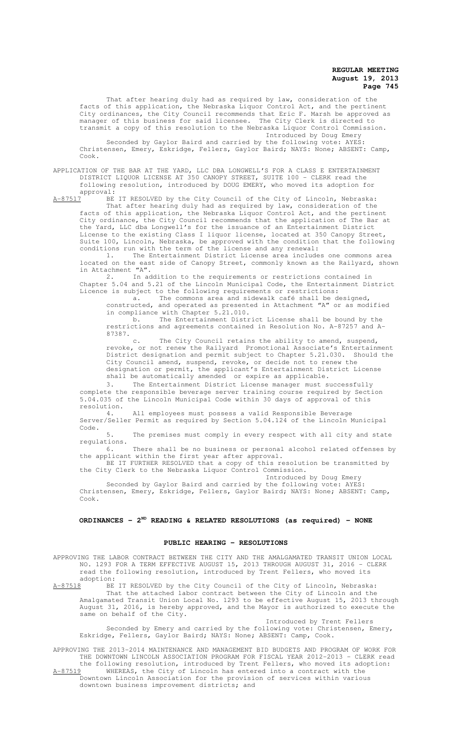That after hearing duly had as required by law, consideration of the facts of this application, the Nebraska Liquor Control Act, and the pertinent City ordinances, the City Council recommends that Eric F. Marsh be approved as manager of this business for said licensee. The City Clerk is directed to transmit a copy of this resolution to the Nebraska Liquor Control Commission. Introduced by Doug Emery

Seconded by Gaylor Baird and carried by the following vote: AYES: Christensen, Emery, Eskridge, Fellers, Gaylor Baird; NAYS: None; ABSENT: Camp, Cook.

APPLICATION OF THE BAR AT THE YARD, LLC DBA LONGWELL'S FOR A CLASS E ENTERTAINMENT DISTRICT LIQUOR LICENSE AT 350 CANOPY STREET, SUITE 100 - CLERK read the following resolution, introduced by DOUG EMERY, who moved its adoption for

approval:<br><u>A-87517</u> BE BE IT RESOLVED by the City Council of the City of Lincoln, Nebraska: That after hearing duly had as required by law, consideration of the facts of this application, the Nebraska Liquor Control Act, and the pertinent City ordinance, the City Council recommends that the application of The Bar at the Yard, LLC dba Longwell's for the issuance of an Entertainment District

License to the existing Class I liquor license, located at 350 Canopy Street, Suite 100, Lincoln, Nebraska, be approved with the condition that the following conditions run with the term of the license and any renewal:<br>1. The Entertainment District License area include The Entertainment District License area includes one commons area

located on the east side of Canopy Street, commonly known as the Railyard, shown in Attachment "A".

2. In addition to the requirements or restrictions contained in Chapter 5.04 and 5.21 of the Lincoln Municipal Code, the Entertainment District Licence is subject to the following requirements or restrictions:

a. The commons area and sidewalk café shall be designed, constructed, and operated as presented in Attachment "A" or as modified in compliance with Chapter 5.21.010.

b. The Entertainment District License shall be bound by the restrictions and agreements contained in Resolution No. A-87257 and A-87387.

c. The City Council retains the ability to amend, suspend, revoke, or not renew the Railyard Promotional Associate's Entertainment District designation and permit subject to Chapter 5.21.030. Should the City Council amend, suspend, revoke, or decide not to renew the designation or permit, the applicant's Entertainment District License shall be automatically amended or expire as applicable.

3. The Entertainment District License manager must successfully complete the responsible beverage server training course required by Section 5.04.035 of the Lincoln Municipal Code within 30 days of approval of this resolution.

4. All employees must possess a valid Responsible Beverage Server/Seller Permit as required by Section 5.04.124 of the Lincoln Municipal Code.

5. The premises must comply in every respect with all city and state regulations.

There shall be no business or personal alcohol related offenses by the applicant within the first year after approval.

BE IT FURTHER RESOLVED that a copy of this resolution be transmitted by the City Clerk to the Nebraska Liquor Control Commission. Introduced by Doug Emery

Seconded by Gaylor Baird and carried by the following vote: AYES: Christensen, Emery, Eskridge, Fellers, Gaylor Baird; NAYS: None; ABSENT: Camp, Cook.

# **ORDINANCES - 2ND READING & RELATED RESOLUTIONS (as required) - NONE**

#### **PUBLIC HEARING - RESOLUTIONS**

APPROVING THE LABOR CONTRACT BETWEEN THE CITY AND THE AMALGAMATED TRANSIT UNION LOCAL NO. 1293 FOR A TERM EFFECTIVE AUGUST 15, 2013 THROUGH AUGUST 31, 2016 - CLERK read the following resolution, introduced by Trent Fellers, who moved its

adoption:<br><u>A-87518</u> BE A-87518 BE IT RESOLVED by the City Council of the City of Lincoln, Nebraska: That the attached labor contract between the City of Lincoln and the Amalgamated Transit Union Local No. 1293 to be effective August 15, 2013 through August 31, 2016, is hereby approved, and the Mayor is authorized to execute the same on behalf of the City.

Introduced by Trent Fellers Seconded by Emery and carried by the following vote: Christensen, Emery, Eskridge, Fellers, Gaylor Baird; NAYS: None; ABSENT: Camp, Cook.

APPROVING THE 2013-2014 MAINTENANCE AND MANAGEMENT BID BUDGETS AND PROGRAM OF WORK FOR THE DOWNTOWN LINCOLN ASSOCIATION PROGRAM FOR FISCAL YEAR 2012-2013 - CLERK read the following resolution, introduced by Trent Fellers, who moved its adoption:

A-87519 WHEREAS, the City of Lincoln has entered into a contract with the Downtown Lincoln Association for the provision of services within various downtown business improvement districts; and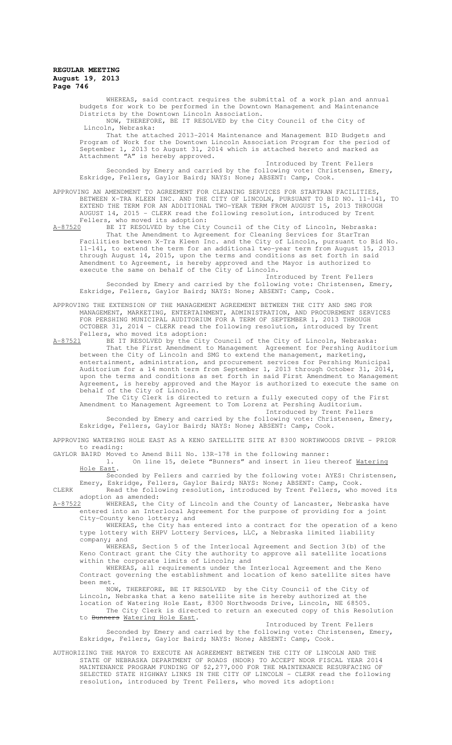WHEREAS, said contract requires the submittal of a work plan and annual budgets for work to be performed in the Downtown Management and Maintenance Districts by the Downtown Lincoln Association.<br>NOW, THEREFORE, BE IT RESOLVED by the C

THEREFORE, BE IT RESOLVED by the City Council of the City of Lincoln, Nebraska:

That the attached 2013-2014 Maintenance and Management BID Budgets and Program of Work for the Downtown Lincoln Association Program for the period of September 1, 2013 to August 31, 2014 which is attached hereto and marked as Attachment "A" is hereby approved.

Introduced by Trent Fellers Seconded by Emery and carried by the following vote: Christensen, Emery, Eskridge, Fellers, Gaylor Baird; NAYS: None; ABSENT: Camp, Cook.

APPROVING AN AMENDMENT TO AGREEMENT FOR CLEANING SERVICES FOR STARTRAN FACILITIES, BETWEEN X-TRA KLEEN INC. AND THE CITY OF LINCOLN, PURSUANT TO BID NO. 11-141, TO EXTEND THE TERM FOR AN ADDITIONAL TWO-YEAR TERM FROM AUGUST 15, 2013 THROUGH AUGUST 14, 2015 - CLERK read the following resolution, introduced by Trent Fellers, who moved its adoption:

A-87520 BE IT RESOLVED by the City Council of the City of Lincoln, Nebraska: That the Amendment to Agreement for Cleaning Services for StarTran Facilities between X-Tra Kleen Inc. and the City of Lincoln, pursuant to Bid No. 11-141, to extend the term for an additional two-year term from August 15, 2013 through August 14, 2015, upon the terms and conditions as set forth in said Amendment to Agreement, is hereby approved and the Mayor is authorized to execute the same on behalf of the City of Lincoln.

Introduced by Trent Fellers Seconded by Emery and carried by the following vote: Christensen, Emery, Eskridge, Fellers, Gaylor Baird; NAYS: None; ABSENT: Camp, Cook.

APPROVING THE EXTENSION OF THE MANAGEMENT AGREEMENT BETWEEN THE CITY AND SMG FOR MANAGEMENT, MARKETING, ENTERTAINMENT, ADMINISTRATION, AND PROCUREMENT SERVICES FOR PERSHING MUNICIPAL AUDITORIUM FOR A TERM OF SEPTEMBER 1, 2013 THROUGH OCTOBER 31, 2014 - CLERK read the following resolution, introduced by Trent Fellers, who moved its adoption:

A-87521 BE IT RESOLVED by the City Council of the City of Lincoln, Nebraska: That the First Amendment to Management Agreement for Pershing Auditorium between the City of Lincoln and SMG to extend the management, marketing, entertainment, administration, and procurement services for Pershing Municipal Auditorium for a 14 month term from September 1, 2013 through October 31, 2014, upon the terms and conditions as set forth in said First Amendment to Management Agreement, is hereby approved and the Mayor is authorized to execute the same on behalf of the City of Lincoln.

The City Clerk is directed to return a fully executed copy of the First Amendment to Management Agreement to Tom Lorenz at Pershing Auditorium.

Introduced by Trent Fellers Seconded by Emery and carried by the following vote: Christensen, Emery, Eskridge, Fellers, Gaylor Baird; NAYS: None; ABSENT: Camp, Cook.

APPROVING WATERING HOLE EAST AS A KENO SATELLITE SITE AT 8300 NORTHWOODS DRIVE - PRIOR to reading:

GAYLOR BAIRD Moved to Amend Bill No. 13R-178 in the following manner:

1. On line 15, delete "Bunners" and insert in lieu thereof Matering Hole East.

Seconded by Fellers and carried by the following vote: AYES: Christensen, Emery, Eskridge, Fellers, Gaylor Baird; NAYS: None; ABSENT: Camp, Cook.

CLERK Read the following resolution, introduced by Trent Fellers, who moved its adoption as amended:<br>A-87522 WHEREAS, the

WHEREAS, the City of Lincoln and the County of Lancaster, Nebraska have entered into an Interlocal Agreement for the purpose of providing for a joint City-County keno lottery; and

WHEREAS, the City has entered into a contract for the operation of a keno type lottery with EHPV Lottery Services, LLC, a Nebraska limited liability company; and

WHEREAS, Section 5 of the Interlocal Agreement and Section 3(b) of the Keno Contract grant the City the authority to approve all satellite locations within the corporate limits of Lincoln; and

WHEREAS, all requirements under the Interlocal Agreement and the Keno Contract governing the establishment and location of keno satellite sites have been met.

NOW, THEREFORE, BE IT RESOLVED by the City Council of the City of Lincoln, Nebraska that a keno satellite site is hereby authorized at the location of Watering Hole East, 8300 Northwoods Drive, Lincoln, NE 68505. The City Clerk is directed to return an executed copy of this Resolution

to Bunners Watering Hole East. Introduced by Trent Fellers

Seconded by Emery and carried by the following vote: Christensen, Emery, Eskridge, Fellers, Gaylor Baird; NAYS: None; ABSENT: Camp, Cook.

AUTHORIZING THE MAYOR TO EXECUTE AN AGREEMENT BETWEEN THE CITY OF LINCOLN AND THE STATE OF NEBRASKA DEPARTMENT OF ROADS (NDOR) TO ACCEPT NDOR FISCAL YEAR 2014 MAINTENANCE PROGRAM FUNDING OF \$2,277,000 FOR THE MAINTENANCE RESURFACING OF SELECTED STATE HIGHWAY LINKS IN THE CITY OF LINCOLN - CLERK read the following resolution, introduced by Trent Fellers, who moved its adoption: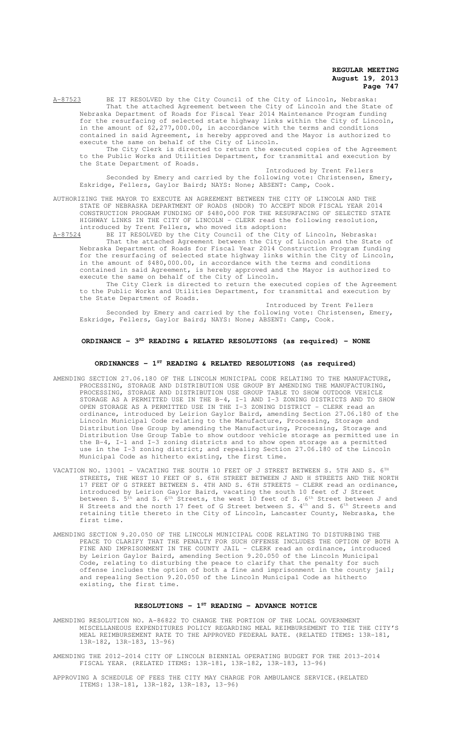A-87523 BE IT RESOLVED by the City Council of the City of Lincoln, Nebraska: That the attached Agreement between the City of Lincoln and the State of Nebraska Department of Roads for Fiscal Year 2014 Maintenance Program funding for the resurfacing of selected state highway links within the City of Lincoln, in the amount of \$2,277,000.00, in accordance with the terms and conditions contained in said Agreement, is hereby approved and the Mayor is authorized to execute the same on behalf of the City of Lincoln.

The City Clerk is directed to return the executed copies of the Agreement to the Public Works and Utilities Department, for transmittal and execution by the State Department of Roads.

Introduced by Trent Fellers Seconded by Emery and carried by the following vote: Christensen, Emery, Eskridge, Fellers, Gaylor Baird; NAYS: None; ABSENT: Camp, Cook.

#### AUTHORIZING THE MAYOR TO EXECUTE AN AGREEMENT BETWEEN THE CITY OF LINCOLN AND THE STATE OF NEBRASKA DEPARTMENT OF ROADS (NDOR) TO ACCEPT NDOR FISCAL YEAR 2014 CONSTRUCTION PROGRAM FUNDING OF \$480,000 FOR THE RESURFACING OF SELECTED STATE HIGHWAY LINKS IN THE CITY OF LINCOLN - CLERK read the following resolution, introduced by Trent Fellers, who moved its adoption:

A-87524 BE IT RESOLVED by the City Council of the City of Lincoln, Nebraska: That the attached Agreement between the City of Lincoln and the State of Nebraska Department of Roads for Fiscal Year 2014 Construction Program funding for the resurfacing of selected state highway links within the City of Lincoln, in the amount of \$480,000.00, in accordance with the terms and conditions contained in said Agreement, is hereby approved and the Mayor is authorized to execute the same on behalf of the City of Lincoln.

The City Clerk is directed to return the executed copies of the Agreement to the Public Works and Utilities Department, for transmittal and execution by the State Department of Roads.

Introduced by Trent Fellers Seconded by Emery and carried by the following vote: Christensen, Emery, Eskridge, Fellers, Gaylor Baird; NAYS: None; ABSENT: Camp, Cook.

# **ORDINANCE - 3<sup>RD</sup> READING & RELATED RESOLUTIONS (as required) - NONE**

# **ORDINANCES - 1ST READING & RELATED RESOLUTIONS (as required)**

- AMENDING SECTION 27.06.180 OF THE LINCOLN MUNICIPAL CODE RELATING TO THE MANUFACTURE, PROCESSING, STORAGE AND DISTRIBUTION USE GROUP BY AMENDING THE MANUFACTURING, PROCESSING, STORAGE AND DISTRIBUTION USE GROUP TABLE TO SHOW OUTDOOR VEHICLE STORAGE AS A PERMITTED USE IN THE B-4, I-1 AND I-3 ZONING DISTRICTS AND TO SHOW OPEN STORAGE AS A PERMITTED USE IN THE I-3 ZONING DISTRICT - CLERK read an ordinance, introduced by Leirion Gaylor Baird, amending Section 27.06.180 of the Lincoln Municipal Code relating to the Manufacture, Processing, Storage and Distribution Use Group by amending the Manufacturing, Processing, Storage and Distribution Use Group Table to show outdoor vehicle storage as permitted use in the B-4, I-1 and I-3 zoning districts and to show open storage as a permitted use in the I-3 zoning district; and repealing Section 27.06.180 of the Lincoln Municipal Code as hitherto existing, the first time.
- VACATION NO. 13001 VACATING THE SOUTH 10 FEET OF J STREET BETWEEN S. 5TH AND S. 6TH STREETS, THE WEST 10 FEET OF S. 6TH STREET BETWEEN J AND H STREETS AND THE NORTH 17 FEET OF G STREET BETWEEN S. 4TH AND S. 6TH STREETS - CLERK read an ordinance, introduced by Leirion Gaylor Baird, vacating the south 10 feet of J Street between S.  $5^{\text{th}}$  and S.  $6^{\text{th}}$  Streets, the west 10 feet of S.  $6^{\text{th}}$  Street between J and H Streets and the north 17 feet of G Street between S. 4<sup>th</sup> and S. 6<sup>th</sup> Streets and retaining title thereto in the City of Lincoln, Lancaster County, Nebraska, the first time.
- AMENDING SECTION 9.20.050 OF THE LINCOLN MUNICIPAL CODE RELATING TO DISTURBING THE PEACE TO CLARIFY THAT THE PENALTY FOR SUCH OFFENSE INCLUDES THE OPTION OF BOTH A FINE AND IMPRISONMENT IN THE COUNTY JAIL - CLERK read an ordinance, introduced by Leirion Gaylor Baird, amending Section 9.20.050 of the Lincoln Municipal Code, relating to disturbing the peace to clarify that the penalty for such offense includes the option of both a fine and imprisonment in the county jail; and repealing Section 9.20.050 of the Lincoln Municipal Code as hitherto existing, the first time.

### **RESOLUTIONS - 1ST READING - ADVANCE NOTICE**

- AMENDING RESOLUTION NO. A-86822 TO CHANGE THE PORTION OF THE LOCAL GOVERNMENT MISCELLANEOUS EXPENDITURES POLICY REGARDING MEAL REIMBURSEMENT TO TIE THE CITY'S MEAL REIMBURSEMENT RATE TO THE APPROVED FEDERAL RATE. (RELATED ITEMS: 13R-181, 13R-182, 13R-183, 13-96)
- AMENDING THE 2012-2014 CITY OF LINCOLN BIENNIAL OPERATING BUDGET FOR THE 2013-2014 FISCAL YEAR. (RELATED ITEMS: 13R-181, 13R-182, 13R-183, 13-96)
- APPROVING A SCHEDULE OF FEES THE CITY MAY CHARGE FOR AMBULANCE SERVICE.(RELATED ITEMS: 13R-181, 13R-182, 13R-183, 13-96)